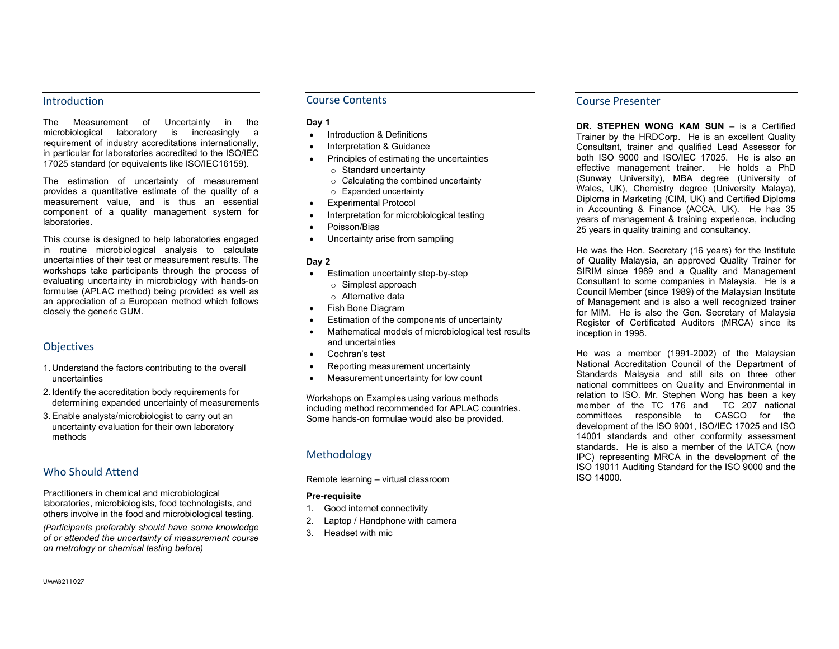### **Introduction**

The Measurement of Uncertainty in the microbiological laboratory is increasingly a requirement of industry accreditations internationally, in particular for laboratories accredited to the ISO/IEC 17025 standard (or equivalents like ISO/IEC16159).

The estimation of uncertainty of measurement provides a quantitative estimate of the quality of a measurement value, and is thus an essential component of a quality management system for laboratories.

This course is designed to help laboratories engaged in routine microbiological analysis to calculate uncertainties of their test or measurement results. The workshops take participants through the process of evaluating uncertainty in microbiology with hands-on formulae (APLAC method) being provided as well as an appreciation of a European method which follows closely the generic GUM.

# **Objectives**

- 1. Understand the factors contributing to the overall uncertainties
- 2. Identify the accreditation body requirements for determining expanded uncertainty of measurements
- 3. Enable analysts/microbiologist to carry out an uncertainty evaluation for their own laboratory methods

# Who Should Attend

Practitioners in chemical and microbiological laboratories, microbiologists, food technologists, and others involve in the food and microbiological testing.

(Participants preferably should have some knowledge of or attended the uncertainty of measurement course on metrology or chemical testing before)

## Course Contents

#### Day 1

- Introduction & Definitions
- Interpretation & Guidance
- Principles of estimating the uncertainties
	- o Standard uncertainty
	- o Calculating the combined uncertainty
	- o Expanded uncertainty
- Experimental Protocol
- Interpretation for microbiological testing
- Poisson/Bias
- Uncertainty arise from sampling

#### Day 2

- Estimation uncertainty step-by-step
	- o Simplest approach
	- o Alternative data
- Fish Bone Diagram
- Estimation of the components of uncertainty
- Mathematical models of microbiological test results and uncertainties
- Cochran's test
- Reporting measurement uncertainty
- Measurement uncertainty for low count

Workshops on Examples using various methods including method recommended for APLAC countries. Some hands-on formulae would also be provided.

# Methodology

Remote learning – virtual classroom

#### Pre-requisite

- 1. Good internet connectivity
- 2. Laptop / Handphone with camera
- 3. Headset with mic

# Course Presenter

DR. STEPHEN WONG KAM SUN – is a Certified Trainer by the HRDCorp. He is an excellent Quality Consultant, trainer and qualified Lead Assessor for both ISO 9000 and ISO/IEC 17025. He is also an effective management trainer. He holds a PhD (Sunway University), MBA degree (University of Wales, UK), Chemistry degree (University Malaya), Diploma in Marketing (CIM, UK) and Certified Diploma in Accounting & Finance (ACCA, UK). He has 35 years of management & training experience, including 25 years in quality training and consultancy.

He was the Hon. Secretary (16 years) for the Institute of Quality Malaysia, an approved Quality Trainer for SIRIM since 1989 and a Quality and Management Consultant to some companies in Malaysia. He is a Council Member (since 1989) of the Malaysian Institute of Management and is also a well recognized trainer for MIM. He is also the Gen. Secretary of Malaysia Register of Certificated Auditors (MRCA) since its inception in 1998.

He was a member (1991-2002) of the Malaysian National Accreditation Council of the Department of Standards Malaysia and still sits on three other national committees on Quality and Environmental in relation to ISO. Mr. Stephen Wong has been a key member of the TC 176 and TC 207 national committees responsible to CASCO for the development of the ISO 9001, ISO/IEC 17025 and ISO 14001 standards and other conformity assessment standards. He is also a member of the IATCA (now IPC) representing MRCA in the development of the ISO 19011 Auditing Standard for the ISO 9000 and the ISO 14000.